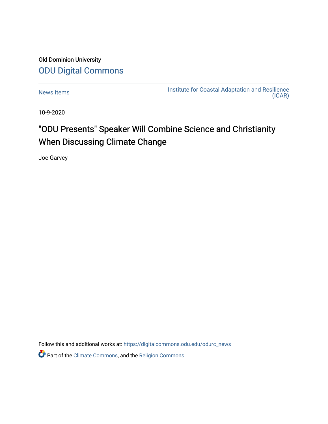## Old Dominion University [ODU Digital Commons](https://digitalcommons.odu.edu/)

[News Items](https://digitalcommons.odu.edu/odurc_news) **Institute for Coastal Adaptation and Resilience** [\(ICAR\)](https://digitalcommons.odu.edu/odurc) 

10-9-2020

## "ODU Presents" Speaker Will Combine Science and Christianity When Discussing Climate Change

Joe Garvey

Follow this and additional works at: [https://digitalcommons.odu.edu/odurc\\_news](https://digitalcommons.odu.edu/odurc_news?utm_source=digitalcommons.odu.edu%2Fodurc_news%2F85&utm_medium=PDF&utm_campaign=PDFCoverPages)

Part of the [Climate Commons,](http://network.bepress.com/hgg/discipline/188?utm_source=digitalcommons.odu.edu%2Fodurc_news%2F85&utm_medium=PDF&utm_campaign=PDFCoverPages) and the [Religion Commons](http://network.bepress.com/hgg/discipline/538?utm_source=digitalcommons.odu.edu%2Fodurc_news%2F85&utm_medium=PDF&utm_campaign=PDFCoverPages)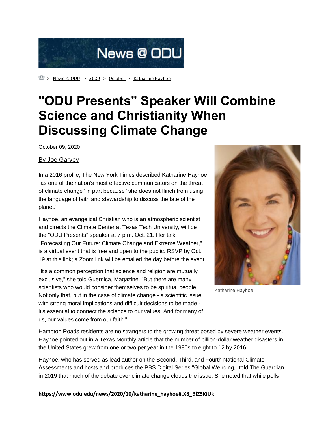

 $\mathbb{Z}$  > [News @ ODU](https://www.odu.edu/news) > [2020](https://www.odu.edu/news/2020) > [October](https://www.odu.edu/news/2020/10) > [Katharine Hayhoe](https://www.odu.edu/news/2020/10/katharine_hayhoe)

## **"ODU Presents" Speaker Will Combine Science and Christianity When Discussing Climate Change**

October 09, 2020

## [By Joe Garvey](mailto:jgarvey@odu.edu)

In a 2016 profile, The New York Times described Katharine Hayhoe "as one of the nation's most effective communicators on the threat of climate change" in part because "she does not flinch from using the language of faith and stewardship to discuss the fate of the planet."

Hayhoe, an evangelical Christian who is an atmospheric scientist and directs the Climate Center at Texas Tech University, will be the "ODU Presents" speaker at 7 p.m. Oct. 21. Her talk, "Forecasting Our Future: Climate Change and Extreme Weather," is a virtual event that is free and open to the public. RSVP by Oct. 19 at this [link;](http://odu.imodules.com/s/1672/OCE/index.aspx?sid=1672&gid=3&pgid=3110&cid=5517&ecid=5517) a Zoom link will be emailed the day before the event.

"It's a common perception that science and religion are mutually exclusive," she told Guernica, Magazine. "But there are many scientists who would consider themselves to be spiritual people. Not only that, but in the case of climate change - a scientific issue with strong moral implications and difficult decisions to be made it's essential to connect the science to our values. And for many of us, our values come from our faith."



Katharine Hayhoe

Hampton Roads residents are no strangers to the growing threat posed by severe weather events. Hayhoe pointed out in a Texas Monthly article that the number of billion-dollar weather disasters in the United States grew from one or two per year in the 1980s to eight to 12 by 2016.

Hayhoe, who has served as lead author on the Second, Third, and Fourth National Climate Assessments and hosts and produces the PBS Digital Series "Global Weirding," told The Guardian in 2019 that much of the debate over climate change clouds the issue. She noted that while polls

**[https://www.odu.edu/news/2020/10/katharine\\_hayhoe#.X8\\_BlZ5KiUk](https://www.odu.edu/news/2020/10/katharine_hayhoe#.X8_BlZ5KiUk)**